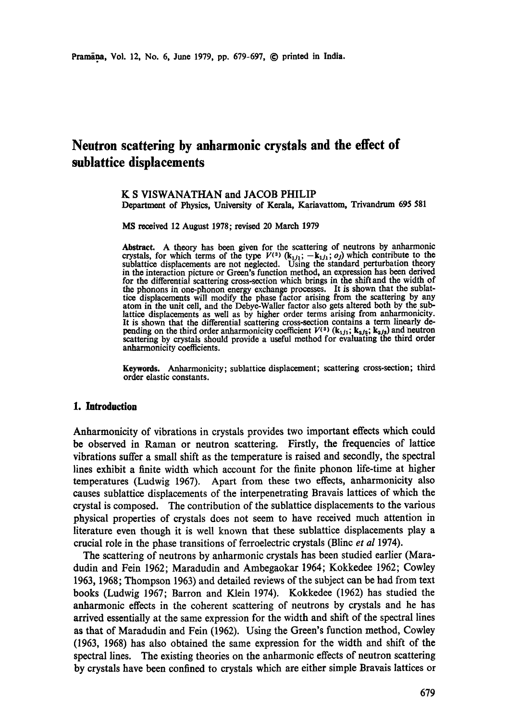# **Neutron scattering by anharmonic crystals and the effect of sublattice displacements**

#### K S VISWANATHAN **and** JACOB PHILIP Department of Physics, University of Kerala, Kariavattom, Trivandrum 695 581

MS received 12 August 1978; revised 20 March 1979

Abstract. A theory has been given for the scattering of neutrons by anharmonie crystals, for which terms of the type  $V^{(3)}$  ( $k_{1j1}$ ;  $-k_{1j1}$ ; *oj*) which contribute to the sublattice displacements are not neglected. Using the standard perturbation theory in the interaction picture or Green's function method, an expression has been derived for the differential scattering cross-section which brings in the shiftand the width of the phonons in one-phonon energy exchange processes. It is shown that the sublattice displacements will modify the phase factor arising from the scattering by any atom in the unit cell, and the Debye-Waller factor also gets.altered both by the sublattice displacements as well as by higher order terms arising from anharmonicity. It is shown that the differential scattering cross-section contains a term linearly de. pending on the third order anharmonicity coefficient  $V^{(3)}$  ( $k_{1j_1}; k_{2j_2}; k_{3j_3}$ ) and neutron scattering by crystals should provide a useful method for evaluating the third order anharmonicity coefficients.

**Keywords.** Anharmonicity; sublattice displacement; scattering cross-section; third order elastic constants.

#### **1. Introduction**

Anharmonicity of vibrations in crystals provides two important effects which could be observed in Raman or neutron scattering. Firstly, the frequencies of lattice vibrations suffer a small shift as the temperature is raised and secondly, the spectral lines exhibit a finite width which account for the finite phonon life-time at higher temperatures (Ludwig 1967). Apart from these two effects, anharmonicity also causes sublattice displacements of the interpenetrating Bravais lattices of which the crystal is composed. The contribution of the sublattice displacements to the various physical properties of crystals does not seem to have received much attention in literature even though it is well known that these sublattice displacements play a crucial role in the phase transitions of ferroelectric crystals (Blinc *et al* 1974).

The scattering of neutrons by anharmonic crystals has been studied earlier (Maradudin and Fein 1962; Maradudin and Ambegaokar 1964; Kokkedee 1962; Cowley 1963, 1968; Thompson 1963) and detailed reviews of the subject can be had from text books (Ludwig 1967; Barren and Klein 1974). Kokkedee (1962) has studied the anharmonic effects in the coherent scattering of neutrons by crystals and he has arrived essentially at the same expression for the width and shift of the spectral lines as that of Maradudin and Fein (1962). Using the Green's function method, Cowley (1963, 1968) has also obtained the same expression for the width and shift of the spectral lines. The existing theories on the anharmonic effects of neutron scattering by crystals have been confined to crystals which are either simple Bravais lattices or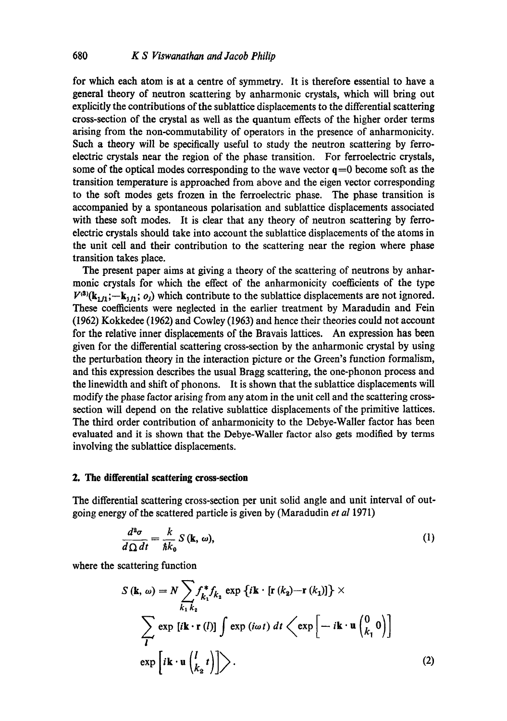for which each atom is at a centre of symmetry. It is therefore essential to have a general theory of neutron scattering by anharmonic crystals, which will bring out explicitly the contributions of the sublattice displacements to the differential scattering cross-section of the crystal as well as the quantum effects of the higher order terms arising from the non-commutability of operators in the presence of anharmonicity. Such a theory will be specifically useful to study the neutron scattering by ferroelectric crystals near the region of the phase transition. For ferroelectric crystals, some of the optical modes corresponding to the wave vector  $q=0$  become soft as the transition temperature is approached from above and the eigen vector corresponding to the soft modes gets frozen in the ferroelectric phase. The phase transition is accompanied by a spontaneous polarisation and sublattice displacements associated with these soft modes. It is clear that any theory of neutron scattering by ferroelectric crystals should take into account the sublattice displacements of the atoms in the unit cell and their contribution to the scattering near the region where phase transition takes place.

The present paper aims at giving a theory of the scattering of neutrons by anharmonic crystals for which the effect of the anharmonicity coefficients of the type  $V^{(3)}(k_{111};-k_{111}; o_j)$  which contribute to the sublattice displacements are not ignored. These coefficients were neglected in the earlier treatment by Maradudin and Fein (1962) Kokkedee (1962) and Cowley (1963) and hence their theories could not account for the relative inner displacements of the Bravais lattices. An expression has been given for the differential scattering cross-section by the anharmonic crystal by using the perturbation theory in the interaction picture or the Green's function formalism, and this expression describes the usual Bragg scattering, the one-phonon process and the linewidth and shift of phonons. It is shown that the sublattice displacements will modify the phase factor arising from any atom in the unit cell and the scattering crosssection will depend on the relative sublattice displacements of the primitive lattices. The third order contribution of anharmonicity to the Debye-Waller factor has been evaluated and it is shown that the Debye-Waller factor also gets modified by terms involving the sublattice displacements.

## **2. The differential scattering cross-section**

The differential scattering cross-section per unit solid angle and unit interval of outgoing energy of the scattered particle is given by (Maradudin *et al* 1971)

$$
\frac{d^2\sigma}{d\Omega dt} = \frac{k}{\hbar k_0} S(\mathbf{k}, \omega),\tag{1}
$$

where the scattering function

$$
S(\mathbf{k}, \omega) = N \sum_{k_1} f_{k_1}^* f_{k_2} \exp \{ i \mathbf{k} \cdot [\mathbf{r} (k_2) - \mathbf{r} (k_1)] \} \times
$$
  

$$
\sum_{\mathbf{l}} \exp [i \mathbf{k} \cdot \mathbf{r} (l)] \int \exp (i \omega t) dt \left\langle \exp \left[ -i \mathbf{k} \cdot \mathbf{u} \begin{pmatrix} 0 \\ k_1 \end{pmatrix} \right] \right\}
$$
  

$$
\exp \left[ i \mathbf{k} \cdot \mathbf{u} \begin{pmatrix} l \\ k_2 \end{pmatrix} \right] \right\rangle.
$$
 (2)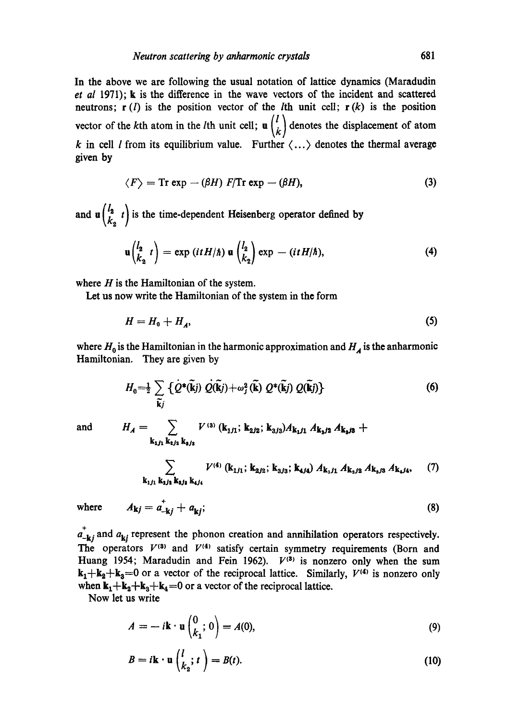In the above we are following the usual notation of lattice dynamics (Maradudin *et al* 1971); k is the difference in the wave vectors of the incident and scattered neutrons;  $r(l)$  is the position vector of the *l*th unit cell;  $r(k)$  is the position vector of the kth atom in the *l*th unit cell;  $\mathbf{u} \begin{pmatrix} l \\ k \end{pmatrix}$  denotes the displacement of atom k in cell *l* from its equilibrium value. Further  $\langle \ldots \rangle$  denotes the thermal average given by

$$
\langle F \rangle = \text{Tr} \exp - (\beta H) \ F/\text{Tr} \exp - (\beta H), \tag{3}
$$

and  $\mathbf{u} \begin{pmatrix} I_2 & t \\ k_2 & t \end{pmatrix}$  is the time-dependent Heisenberg operator defined by

$$
\mathbf{u}\begin{pmatrix}l_2 & t\\ k_2 & t\end{pmatrix} = \exp\left(itH/\hbar\right)\mathbf{u}\begin{pmatrix}l_2\\ k_2\end{pmatrix}\exp\,-\,(itH/\hbar),\tag{4}
$$

where  $H$  is the Hamiltonian of the system.

Let us now write the Hamiltonian of the system in the form

$$
H = H_0 + H_A,\tag{5}
$$

where  $H_0$  is the Hamiltonian in the harmonic approximation and  $H_A$  is the anharmonic Hamiltonian. They are given by

$$
H_0 = \frac{1}{2} \sum_{\widetilde{\mathbf{k}}j} \left\{ \dot{Q}^*(\widetilde{\mathbf{k}}j) \dot{Q}(\widetilde{\mathbf{k}}j) + \omega_j^2 (\widetilde{\mathbf{k}}) \ Q^*(\widetilde{\mathbf{k}}j) \ Q(\widetilde{\mathbf{k}}j) \right\}
$$
(6)

and

$$
H_A = \sum_{\mathbf{k}_{1j1} \mathbf{k}_{2j2} \mathbf{k}_{3j3}} V^{(3)}(\mathbf{k}_{1j1}; \mathbf{k}_{2j2}; \mathbf{k}_{3j3}) A_{\mathbf{k}_1 j1} A_{\mathbf{k}_2 j2} A_{\mathbf{k}_2 j3} +
$$
  

$$
\sum_{V^{(4)} \ (V_1, V_2, V_3, V_4, V_5, V_5, V_6, V_7, V_8, V_9, V_{10}, V_{11}, V_{12}, V_{13}, V_{14}, V_{15}, V_{16}, V_{17}, V_{18}, V_{19}, V_{10}, V_{11}, V_{12}, V_{13}, V_{14}, V_{15}, V_{16}, V_{17}, V_{18}, V_{19}, V_{10}, V_{11}, V_{12}, V_{13}, V_{14}, V_{15}, V_{16}, V_{17}, V_{18}, V_{19}, V_{10}, V_{11}, V_{12}, V_{13}, V_{14}, V_{15}, V_{16}, V_{17}, V_{18}, V_{19}, V_{10}, V_{11}, V_{12}, V_{13}, V_{14}, V_{15}, V_{16}, V_{17}, V_{18}, V_{19}, V_{10}, V_{11}, V_{12}, V_{13}, V_{14}, V_{15}, V_{16}, V_{17}, V_{18}, V_{19}, V_{10}, V_{11}, V_{12}, V_{13}, V_{14}, V_{15}, V_{16}, V_{17}, V_{18}, V_{19}, V_{10}, V_{11}, V_{12}, V_{13}, V_{14}, V_{15}, V_{16}, V_{17}, V_{18}, V_{19}, V_{10}, V_{11}, V_{12}, V_{13}, V_{14}, V_{15}, V_{16}, V_{17}, V_{18}, V_{19}, V_{10}, V_{11}, V_{12}, V_{13}, V_{14}, V_{15}, V_{16}, V_{17}, V_{18}, V_{19}, V_{10}, V_{11}, V_{12}, V_{13}, V_{14}, V_{15}, V_{16}, V_{17}, V_{18}, V_{19}, V_{10}, V_{11}, V_{12}, V_{13}, V_{14}, V_{15}, V_{16}, V_{17}, V_{18}, V_{19}, V
$$

$$
\sum_{\mathbf{k}_{1j1}\,\mathbf{k}_{2j1}\,\mathbf{k}_{3j2}\,\mathbf{k}_{4j4}} V^{(4)}\left(\mathbf{k}_{1j1}\,;\,\mathbf{k}_{2j2}\,;\,\mathbf{k}_{3j3}\,;\,\mathbf{k}_{4j4}\right) A_{\mathbf{k}_1j1}\,A_{\mathbf{k}_2j2}\,A_{\mathbf{k}_3j3}\,A_{\mathbf{k}_4j4},\qquad (7)
$$

where  $A_{kj} = a_{-ki}^{+} + a_{ki};$  (8)  $a_{-{\bf k}i}^+$  and  $a_{\bf k}i$  represent the phonon creation and annihilation operators respectively.

The operators  $V^{(3)}$  and  $V^{(4)}$  satisfy certain symmetry requirements (Born and Huang 1954; Maradudin and Fein 1962).  $V^{(3)}$  is nonzero only when the sum  $k_1+k_2+k_3=0$  or a vector of the reciprocal lattice. Similarly,  $V^{(4)}$  is nonzero only when  $k_1+k_2+k_3+k_4=0$  or a vector of the reciprocal lattice.

Now let us write

$$
A = -ik \cdot \mathbf{u} \begin{pmatrix} 0 \\ k_1 \end{pmatrix} = A(0), \tag{9}
$$

$$
B = i\mathbf{k} \cdot \mathbf{u} \begin{pmatrix} l \\ k_2 \end{pmatrix} = B(t). \tag{10}
$$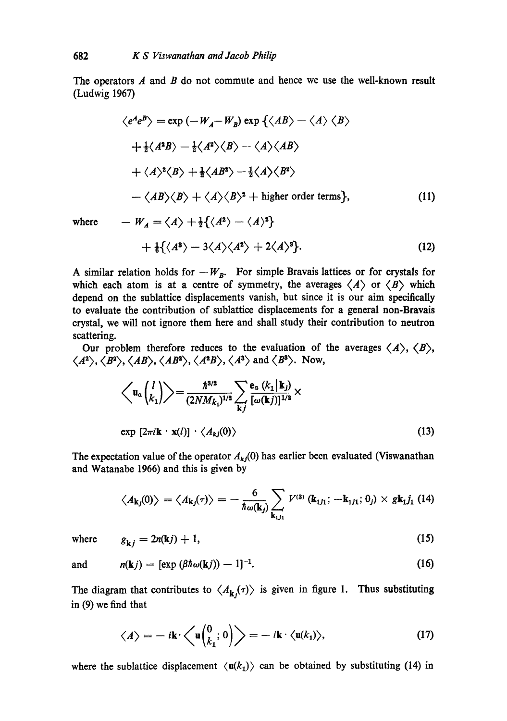The operators  $A$  and  $B$  do not commute and hence we use the well-known result (Ludwig 1967)

$$
\langle e^A e^B \rangle = \exp \left( -W_A - W_B \right) \exp \left\{ \langle AB \rangle - \langle A \rangle \langle B \rangle \right.
$$
  
+  $\frac{1}{2} \langle A^2 B \rangle - \frac{1}{2} \langle A^2 \rangle \langle B \rangle - \langle A \rangle \langle AB \rangle$   
+  $\langle A \rangle^2 \langle B \rangle + \frac{1}{2} \langle AB^2 \rangle - \frac{1}{2} \langle A \rangle \langle B^2 \rangle$   
-  $\langle AB \rangle \langle B \rangle + \langle A \rangle \langle B \rangle^2 + \text{higher order terms} \},$  (11)

where  $-W_A = \langle A \rangle + \frac{1}{2} \{ \langle A^2 \rangle - \langle A \rangle^2 \}$ 

$$
+\tfrac{1}{6}\{\langle A^3\rangle-3\langle A\rangle\langle A^2\rangle+2\langle A\rangle^3\}.
$$
 (12)

A similar relation holds for  $-W_B$ . For simple Bravais lattices or for crystals for which each atom is at a centre of symmetry, the averages  $\langle A \rangle$  or  $\langle B \rangle$  which depend on the sublattice displacements vanish, but since it is our aim specifically to evaluate the contribution of sublattice displacements for a general non-Bravais crystal, we will not ignore them here and shall study their contribution to neutron scattering.

Our problem therefore reduces to the evaluation of the averages  $\langle A \rangle$ ,  $\langle B \rangle$ ,  $\langle A^2 \rangle$ ,  $\langle B^2 \rangle$ ,  $\langle AB \rangle$ ,  $\langle AB^2 \rangle$ ,  $\langle A^2B \rangle$ ,  $\langle A^3 \rangle$  and  $\langle B^3 \rangle$ . Now,

$$
\left\langle \mathbf{u}_{\alpha} \begin{pmatrix} l \\ k_1 \end{pmatrix} \right\rangle = \frac{\hbar^{3/2}}{(2NM_{k_1})^{1/2}} \sum_{\mathbf{k}j} \frac{\mathbf{e}_{\alpha} \left( k_1 \middle| \mathbf{k}_j \right)}{[\omega(\mathbf{k}j)]^{1/2}} \times
$$
\n
$$
\exp \left[ 2\pi i \mathbf{k} \cdot \mathbf{x}(l) \right] \cdot \left\langle A_{kj}(0) \right\rangle \tag{13}
$$

The expectation value of the operator  $A_{kj}(0)$  has earlier been evaluated (Viswanathan and Watanabe 1966) and this is given by

$$
\langle A_{\mathbf{k}j}(0) \rangle = \langle A_{\mathbf{k}j}(\tau) \rangle = -\frac{6}{\hbar \omega(\mathbf{k}_j)} \sum_{\mathbf{k}_{1j1}} V^{(3)} (\mathbf{k}_{1j1}; -\mathbf{k}_{1j1}; 0_j) \times g \mathbf{k}_1 j_1 (14)
$$

where 
$$
g_{k,j} = 2n(kj) + 1,
$$
 (15)

$$
and \qquad n(\mathbf{k}j) = [\exp(\beta \hbar \omega(\mathbf{k}j)) - 1]^{-1}.
$$
 (16)

The diagram that contributes to  $\langle A_{k}(r) \rangle$  is given in figure 1. Thus substituting in (9) we find that

$$
\langle A \rangle = -i\mathbf{k} \cdot \left\langle \mathbf{u} \begin{pmatrix} 0 \\ k_1 \end{pmatrix} \right\rangle = -i\mathbf{k} \cdot \langle \mathbf{u}(k_1) \rangle, \tag{17}
$$

where the sublattice displacement  $\langle u(k_1) \rangle$  can be obtained by substituting (14) in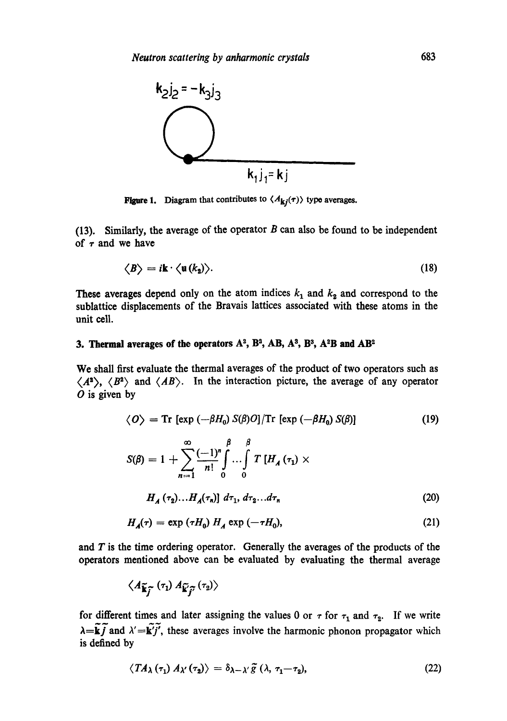

**Figure 1.** Diagram that contributes to  $\langle A_{ki}(\tau) \rangle$  type averages.

(13). Similarly, the average of the operator  $B$  can also be found to be independent of  $\tau$  and we have

$$
\langle B \rangle = i \mathbf{k} \cdot \langle \mathbf{u} (k_2) \rangle. \tag{18}
$$

These averages depend only on the atom indices  $k_1$  and  $k_2$  and correspond to the sublattice displacements of the Bravais lattices associated with these atoms in the unit cell.

## 3. Thermal averages of the operators  $A^2$ ,  $B^3$ ,  $AB$ ,  $A^3$ ,  $B^3$ ,  $A^2B$  and  $AB^2$

We shall first evaluate the thermal averages of the product of two operators such as  $\langle A^2 \rangle$ ,  $\langle B^2 \rangle$  and  $\langle AB \rangle$ . In the interaction picture, the average of any operator  $O$  is given by

$$
\langle O \rangle = \text{Tr} \left[ \exp \left( -\beta H_0 \right) S(\beta) O \right] / \text{Tr} \left[ \exp \left( -\beta H_0 \right) S(\beta) \right] \tag{19}
$$
\n
$$
S(\beta) = 1 + \sum_{n=1}^{\infty} \frac{(-1)^n}{n!} \int_0^{\beta} \cdots \int_0^{\beta} T \left[ H_A(\tau_1) \times \right] \, d\tau
$$

$$
H_A(\tau_2)\dots H_A(\tau_n) \, d\tau_1, \, d\tau_2 \dots d\tau_n \tag{20}
$$

$$
H_{\mathcal{A}}(\tau) = \exp\left(\tau H_0\right) H_{\mathcal{A}} \exp\left(-\tau H_0\right),\tag{21}
$$

and  $T$  is the time ordering operator. Generally the averages of the products of the operators mentioned above can be evaluated by evaluating the thermal average

$$
\big\langle A_{\widetilde{\mathbf{k}}_{\widetilde{f}}}\left(\tau_{1}\right)A_{\widetilde{\mathbf{k}}_{\widetilde{f}}}\left(\tau_{2}\right)\big\rangle
$$

for different times and later assigning the values 0 or  $\tau$  for  $\tau_1$  and  $\tau_2$ . If we write  $\lambda = \tilde{k}j$  and  $\lambda' = k'j'$ , these averages involve the harmonic phonon propagator which is defined by

$$
\langle T A_{\lambda} (\tau_1) A_{\lambda'} (\tau_2) \rangle = \delta_{\lambda - \lambda'} \widetilde{g} (\lambda, \tau_1 - \tau_2), \qquad (22)
$$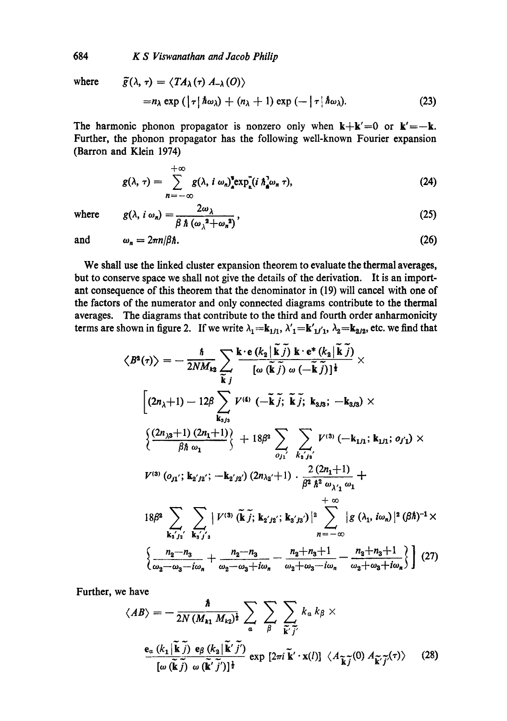where 
$$
\tilde{g}(\lambda, \tau) = \langle TA_{\lambda}(\tau) A_{-\lambda}(0) \rangle
$$
  
= $n_{\lambda} \exp(|\tau| \hbar \omega_{\lambda}) + (n_{\lambda} + 1) \exp(-|\tau| \hbar \omega_{\lambda}).$  (23)

The harmonic phonon propagator is nonzero only when  $k+k'=0$  or  $k'=-k$ . Further, the phonon propagator has the following well-known Fourier expansion (Barron and Klein 1974)

$$
g(\lambda, \tau) = \sum_{n=-\infty}^{+\infty} g(\lambda, i \omega_n)^{\texttt{P}} \exp_k^{\texttt{m}}(i \hbar_{\mathbf{a}}^{\lambda} \omega_n \tau), \tag{24}
$$

where 
$$
g(\lambda, i \omega_n) = \frac{2\omega_{\lambda}}{\beta \hbar (\omega_{\lambda}^2 + \omega_n^2)},
$$
 (25)

and 
$$
\omega_n = 2\pi n/\beta \hbar. \tag{26}
$$

We shall use the linked cluster expansion theorem to evaluate the thermal averages, but to conserve space we shall not give the details of the derivation. It is an important consequence of this theorem that the denominator in (19) will cancel with one of the factors of the numerator and only connected diagrams contribute to the thermal averages. The diagrams that contribute to the third and fourth order anharmonicity terms are shown in figure 2. If we write  $\lambda_1 = \mathbf{k}_{1j_1}, \lambda'_1 = \mathbf{k'}_{1j'_1}, \lambda_2 = \mathbf{k}_{2j_2}$ , etc. we find that

$$
\langle B^{2}(\tau) \rangle = -\frac{\hbar}{2NM_{k2}} \sum_{\widetilde{k}j} \frac{k \cdot e (k_{2} | \widetilde{k}j) k \cdot e^{*} (k_{2} | \widetilde{k}j)}{[\omega (\widetilde{k}j) \omega (-\widetilde{k}j)]^{\frac{1}{2}}} \times
$$
  

$$
[(2n_{\lambda}+1) - 12\beta \sum_{k_{3/3}} V^{(4)} (-\widetilde{k}j; \widetilde{k}j; k_{3/3}; -k_{3/3}) \times
$$
  

$$
\frac{(2n_{\lambda3}+1) (2n_{1}+1)}{\beta \hbar \omega_{1}} \Big\} + 18\beta^{2} \sum_{o_{j_{1}}} \sum_{k_{1}j_{2}} V^{(3)} (-k_{1j_{1}}; k_{1j_{1}}; o_{j_{1}}) \times
$$
  

$$
V^{(3)} (o_{j_{1}}; k_{2}j_{2}; -k_{2}j_{2}) (2n_{\lambda_{2}}+1) \cdot \frac{2 (2n_{1}+1)}{\beta^{2} \hbar^{2} \omega_{\lambda'_{1}} \omega_{1}} + \frac{\omega}{\infty}
$$
  

$$
18\beta^{2} \sum_{k_{2}j_{2}} \sum_{k_{3}j_{3}} |V^{(3)} (\widetilde{k}j; k_{2}j_{2}; k_{3}j_{3})|^{2} \sum_{n=-\infty}^{\infty} |g(\lambda_{1}, i\omega_{n})|^{2} (\beta \hbar)^{-1} \times
$$
  

$$
\frac{n_{2}-n_{3}}{\omega_{2}-\omega_{3}-i\omega_{n}} + \frac{n_{2}-n_{3}}{\omega_{2}-\omega_{3}+i\omega_{n}} - \frac{n_{2}+n_{3}+1}{\omega_{2}+\omega_{3}-i\omega_{n}} - \frac{n_{2}+n_{3}+1}{\omega_{2}+\omega_{3}+i\omega_{n}} \Big\} (27)
$$

Further, we have

$$
\langle AB \rangle = -\frac{\hbar}{2N \left(M_{k1} M_{k2}\right)^{\frac{1}{2}}} \sum_{\alpha} \sum_{\beta} \sum_{\widetilde{\mathbf{k}}' \widetilde{j'}} k_{\alpha} k_{\beta} \times
$$

$$
\frac{\mathbf{e}_{\alpha} \left(k_{1} \big| \widetilde{\mathbf{k}} \widetilde{j}\right) \mathbf{e}_{\beta} \left(k_{2} \big| \widetilde{\mathbf{k}}' \widetilde{j'}\right)}{\left[\omega \left(\widetilde{\mathbf{k}} \widetilde{j}\right) \omega \left(\widetilde{\mathbf{k}}' \widetilde{j'}\right)\right]^{\frac{1}{2}}} \exp \left[2\pi i \widetilde{\mathbf{k}}' \cdot \mathbf{x}(l)\right] \langle A_{\widetilde{\mathbf{k}} \widetilde{j}}(0) A_{\widetilde{\mathbf{k}}' \widetilde{j'}}(\tau) \rangle \tag{28}
$$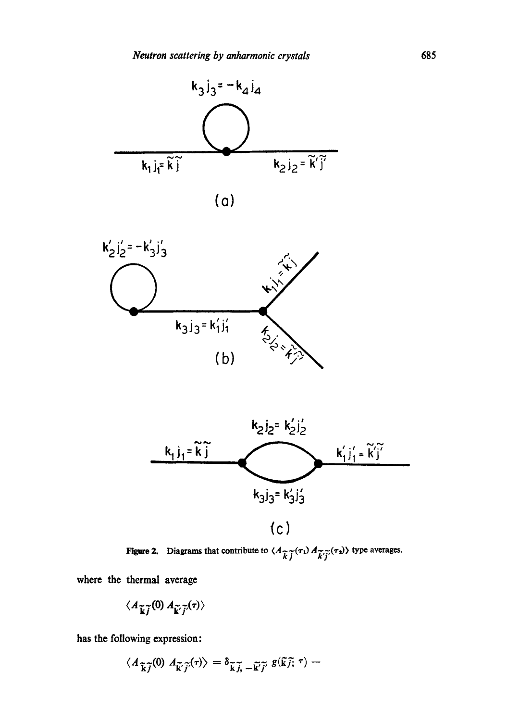

$$
(\mathsf{o})
$$





Figure 2. Diagrams that contribute to  $\langle A_{\widetilde{L},\widetilde{T}}(\tau_1) A_{\widetilde{L},\widetilde{T}}(\tau_2) \rangle$  type averages.

where the thermal average

$$
\langle A_{\widetilde{\mathbf{k}}\widetilde{j}}(0) \, A_{\widetilde{\mathbf{k}}'\widetilde{j}'}(\tau) \rangle
$$

has the following expression:

$$
\langle A_{\widetilde{\mathbf{k}}\widetilde{j}}(0) \; A_{\widetilde{\mathbf{k}}'\widetilde{j}'}(\tau) \rangle = \delta_{\widetilde{\mathbf{k}}\,\widetilde{j}_1\,-\,\widetilde{\mathbf{k}}'\widetilde{j}'} \; g(\widetilde{\mathbf{k}}\,\widetilde{j};\,\tau) -
$$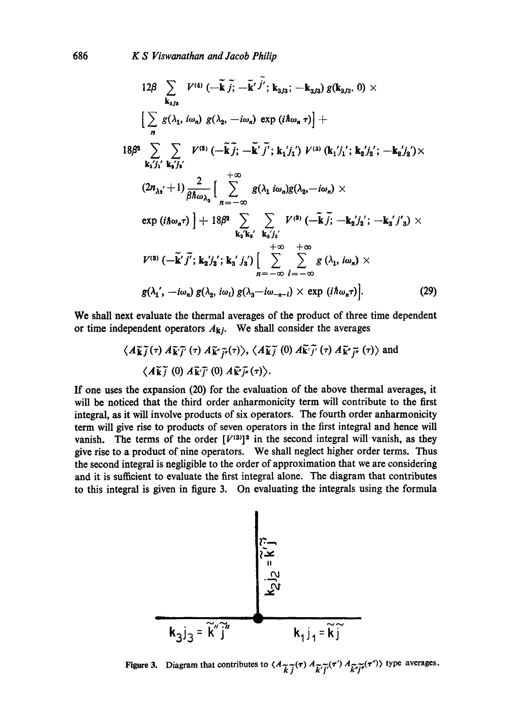$$
12\beta \sum_{\mathbf{k}_3j_3} V^{(4)} \left(-\tilde{\mathbf{k}} \tilde{j}; -\tilde{\mathbf{k}}' \tilde{j}'; \mathbf{k}_3j_3; -\mathbf{k}_3j_3\right) g(\mathbf{k}_3j_3, 0) \times
$$
\n
$$
\left[\sum_{n} g(\lambda_1, i\omega_n) g(\lambda_2, -i\omega_n) \exp(i\hbar\omega_n \tau)\right] +
$$
\n
$$
18\beta^2 \sum_{\mathbf{k}_1j'_1} \sum_{\mathbf{k}_2j'_2} V^{(3)} \left(-\tilde{\mathbf{k}} \tilde{j}; -\tilde{\mathbf{k}}' \tilde{j}'; \mathbf{k}_1j'_1\right) V^{(3)} (\mathbf{k}_1j'_1; \mathbf{k}_2j'_2; -\mathbf{k}_2j'_2) \times
$$
\n
$$
(2n_{\lambda_1} + 1) \frac{2}{\beta\hbar\omega_{\lambda_3}} \left[\sum_{n=-\infty}^{+\infty} g(\lambda_1 i\omega_n) g(\lambda_2, -i\omega_n) \times
$$
\n
$$
\exp(i\hbar\omega_n \tau) + 18\beta^2 \sum_{\mathbf{k}_2} \sum_{\mathbf{k}_3j'_3} V^{(3)} \left(-\tilde{\mathbf{k}} \tilde{j}; -\mathbf{k}_2j'_2; -\mathbf{k}_3j'_3\right) \times
$$
\n
$$
V^{(3)} \left(-\tilde{\mathbf{k}}' \tilde{j}'; \mathbf{k}_2j'_2; \mathbf{k}_3j'_3\right) \left[\sum_{n=-\infty}^{+\infty} \sum_{l=-\infty}^{+\infty} g(\lambda_1, i\omega_n) \times
$$
\n
$$
g(\lambda_1', -i\omega_n) g(\lambda_2, i\omega_l) g(\lambda_3 - i\omega_{-n-l}) \times \exp(i\hbar\omega_n \tau)\right].
$$
\n(29)

We shall next evaluate the thermal averages of the product of three time dependent or time independent operators  $A_{ki}$ . We shall consider the averages

$$
\langle A\widetilde{\mathbf{k}}\widetilde{\jmath}(\tau) A\widetilde{\mathbf{k}}\widetilde{\jmath}(\tau) A\widetilde{\mathbf{k}}\widetilde{\jmath}(\tau) \rangle, \langle A\widetilde{\mathbf{k}}\widetilde{\jmath}(\tau) A\widetilde{\mathbf{k}}\widetilde{\jmath}(\tau) A\widetilde{\mathbf{k}}\widetilde{\jmath}(\tau) \rangle \text{ and}
$$
  

$$
\langle A\widetilde{\mathbf{k}}\widetilde{\jmath}(\tau) A\widetilde{\mathbf{k}}\widetilde{\jmath}(\tau) A\widetilde{\mathbf{k}}\widetilde{\jmath}(\tau) \rangle.
$$

If one uses the expansion (20) for the evaluation of the above thermal averages, it will be noticed that the third order anharmonicity term will contribute to the first integral, as it will involve products of six operators. The fourth order anharmonicity term will give rise to products of seven operators in the first integral and hence will vanish. The terms of the order  $[V^{(3)}]^2$  in the second integral will vanish, as they give rise to a product of nine operators. We shall neglect higher order terms. Thus the second integral is negligible to the order of approximation that we are considering and it is sufficient to evaluate the first integral alone. The diagram that contributes to this integral is given in figure 3. On evaluating the integrals using the formula



Figure 3. Diagram that contributes to  $\langle A_{\widetilde{k},\widetilde{j}}(\tau) A_{\widetilde{k}',\widetilde{j}'}(\tau') A_{\widetilde{k}'\widetilde{j}'}(\tau'')\rangle$  type averages.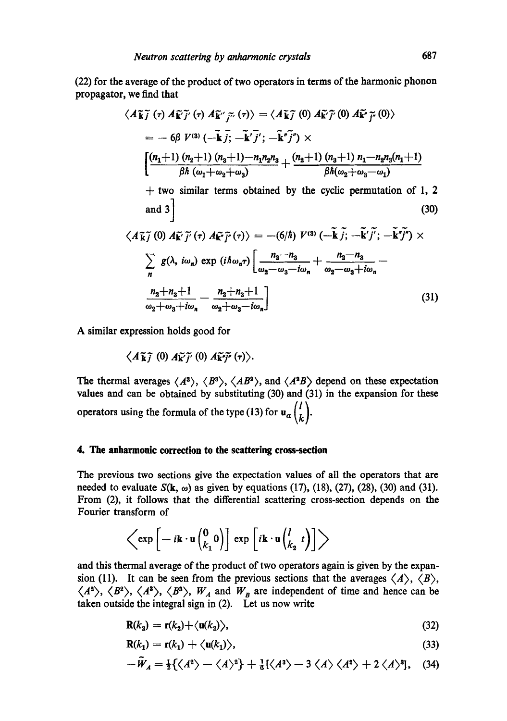(22) for the average of the product of two operators in terms of the harmonic phonon propagator, we find that

$$
\langle A\widetilde{\mathbf{k}}\widetilde{\jmath}(\tau) A\widetilde{\mathbf{k}}'\widetilde{\jmath}'(\tau) A\widetilde{\mathbf{k}}'\widetilde{\jmath}''(\tau)\rangle = \langle A\widetilde{\mathbf{k}}\widetilde{\jmath}(0) A\widetilde{\mathbf{k}}'\widetilde{\jmath}'(0) A\widetilde{\mathbf{k}}'\widetilde{\jmath}''(0)\rangle
$$
  
\n
$$
= -6\beta V^{(3)} \left(-\widetilde{\mathbf{k}}\widetilde{\jmath}; -\widetilde{\mathbf{k}}'\widetilde{\jmath}'; -\widetilde{\mathbf{k}}'\widetilde{\jmath}''\right) \times
$$
  
\n
$$
\left[\frac{(n_1+1) (n_2+1) (n_3+1) - n_1 n_2 n_3}{\beta \hbar (n_1+n_2+n_3)} + \frac{(n_2+1) (n_3+1) n_1 - n_2 n_3 (n_1+1)}{\beta \hbar (n_2+n_3-n_1)} + \text{two similar terms obtained by the cyclic permutation of 1, 2 and 3}\right]
$$
  
\n
$$
\langle A\widetilde{\mathbf{k}}\widetilde{\jmath}(0) A\widetilde{\mathbf{k}}'\widetilde{\jmath}'(\tau) A\widetilde{\mathbf{k}}'\widetilde{\jmath}''(\tau)\rangle = -(6/\hbar) V^{(3)} \left(-\widetilde{\mathbf{k}}\widetilde{\jmath}; -\widetilde{\mathbf{k}}'\widetilde{\jmath}'; -\widetilde{\mathbf{k}}'\widetilde{\jmath}''\right) \times
$$
  
\n
$$
\sum_{n} g(\lambda, i\omega_n) \exp (i\hbar \omega_n \tau) \left[\frac{n_2-n_3}{\omega_2-\omega_3-i\omega_n} + \frac{n_2-n_3}{\omega_2-\omega_3+i\omega_n} - \frac{n_2+n_3+1}{\omega_2+\omega_3+i\omega_n} - \frac{n_2+n_3+1}{\omega_2+\omega_3+i\omega_n}\right]
$$
  
\n(31)

A similar expression holds good for

$$
\langle A\widetilde{\mathbf{k}}\widetilde{\jmath}\,\,(0)\,A\widetilde{\mathbf{k}}'\widetilde{\jmath}'\,(0)\,A\widetilde{\mathbf{k}}\widetilde{\jmath}''\,(\tau)\rangle.
$$

The thermal averages  $\langle A^3 \rangle$ ,  $\langle B^3 \rangle$ ,  $\langle AB^3 \rangle$ , and  $\langle A^3B \rangle$  depend on these expectation values and can be obtained by substituting (30) and (31) in the expansion for these operators using the formula of the type (13) for  $\mathbf{u}_{\alpha} {l \choose k}$ .

## **4. The anharmonic correction to the scattering cross-section**

The previous two sections give the expectation values of all the operators that are needed to evaluate  $S(k, \omega)$  as given by equations (17), (18), (27), (28), (30) and (31). From (2), it follows that the differential scattering cross-section depends on the Fourier transform of

$$
\left\langle \exp \left[ -i \mathbf{k} \cdot \mathbf{u} \begin{pmatrix} 0 \\ k_1 \end{pmatrix} \right] \exp \left[ i \mathbf{k} \cdot \mathbf{u} \begin{pmatrix} l \\ k_2 \end{pmatrix} \right] \right\rangle
$$

and this thermal average of the product of two operators again is given by the expansion (11). It can be seen from the previous sections that the averages  $\langle A \rangle$ ,  $\langle B \rangle$ ,  $\langle A^2 \rangle$ ,  $\langle B^2 \rangle$ ,  $\langle A^3 \rangle$ ,  $\langle B^3 \rangle$ ,  $W_A$  and  $W_B$  are independent of time and hence can be taken outside the integral sign in (2). Let us now write

$$
\mathbf{R}(k_2) = \mathbf{r}(k_2) + \langle \mathbf{u}(k_2) \rangle, \tag{32}
$$

$$
\mathbf{R}(k_1) = \mathbf{r}(k_1) + \langle \mathbf{u}(k_1) \rangle, \tag{33}
$$

$$
-\widetilde{W}_A = \frac{1}{2}\{\langle A^2 \rangle - \langle A \rangle^2\} + \frac{1}{6}\{\langle A^3 \rangle - 3\langle A \rangle\langle A^2 \rangle + 2\langle A \rangle^3], \quad (34)
$$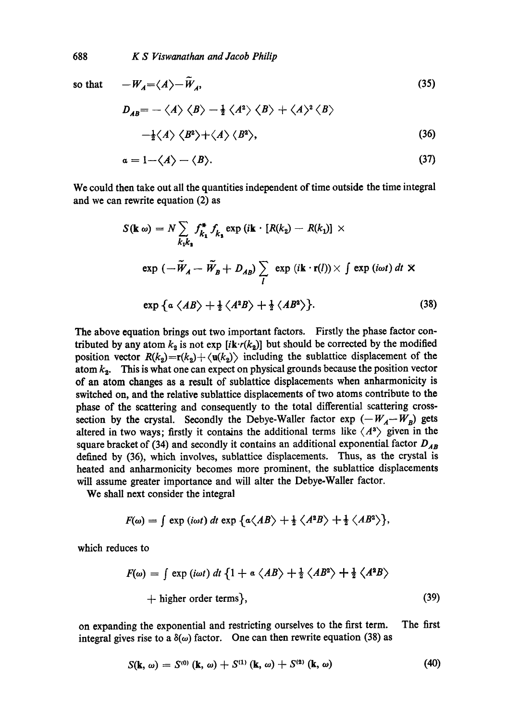so that 
$$
-W_A = \langle A \rangle - \widetilde{W}_A
$$
,  
\n
$$
D_{AB} = - \langle A \rangle \langle B \rangle - \frac{1}{2} \langle A^2 \rangle \langle B \rangle + \langle A \rangle^2 \langle B \rangle
$$
\n(35)

$$
-\frac{1}{2}\langle A\rangle \langle B^2\rangle + \langle A\rangle \langle B^2\rangle, \tag{36}
$$

$$
a = 1 - \langle A \rangle - \langle B \rangle. \tag{37}
$$

We could then take out all the quantities independent of time outside the time integral and we can rewrite equation (2) as

$$
S(\mathbf{k} \omega) = N \sum_{k_1 k_1} f_{k_1}^* f_{k_2} \exp(i\mathbf{k} \cdot [R(k_2) - R(k_1)] \times
$$
  
\n
$$
\exp(-\widetilde{W}_A - \widetilde{W}_B + D_{AB}) \sum_l \exp(i\mathbf{k} \cdot \mathbf{r}(l)) \times \int \exp(i\omega t) dt \times
$$
  
\n
$$
\exp\left\{\alpha \langle AB \rangle + \frac{1}{2} \langle A^2 B \rangle + \frac{1}{2} \langle AB^2 \rangle \right\}.
$$
 (38)

The above equation brings out two important factors. Firstly the phase factor contributed by any atom  $k_2$  is not exp  $[i\mathbf{k} \cdot r(k_2)]$  but should be corrected by the modified position vector  $R(k_2)=r(k_2)+\langle u(k_2)\rangle$  including the sublattice displacement of the atom  $k_2$ . This is what one can expect on physical grounds because the position vector of an atom changes as a result of sublattice displacements when anharmonicity is switched on, and the relative sublattiee displacements of two atoms contribute to the phase of the scattering and consequently to the total differential scattering crosssection by the crystal. Secondly the Debye-Waller factor  $\exp(-W_A-W_B)$  gets altered in two ways; firstly it contains the additional terms like  $\langle A^3 \rangle$  given in the square bracket of (34) and secondly it contains an additional exponential factor  $D_{AB}$ defined by (36), which involves, sublattice displacements. Thus, as the crystal is heated and anharmonicity becomes more prominent, the sublattice displacements will assume greater importance and will alter the Debye-Waller factor.

We shall next consider the integral

$$
F(\omega) = \int \exp(i\omega t) dt \exp \{a \langle AB \rangle + \frac{1}{2} \langle A^2B \rangle + \frac{1}{2} \langle AB^2 \rangle \},
$$

which reduces to

$$
F(\omega) = \int \exp(i\omega t) dt \{1 + a \langle AB \rangle + \frac{1}{2} \langle AB^2 \rangle + \frac{1}{2} \langle A^2B \rangle
$$
  
+ higher order terms}, (39)

on expanding the exponential and restricting ourselves to the first term. The first integral gives rise to a  $\delta(\omega)$  factor. One can then rewrite equation (38) as

$$
S(\mathbf{k},\,\omega)=S^{(0)}\left(\mathbf{k},\,\omega\right)+S^{(1)}\left(\mathbf{k},\,\omega\right)+S^{(2)}\left(\mathbf{k},\,\omega\right) \tag{40}
$$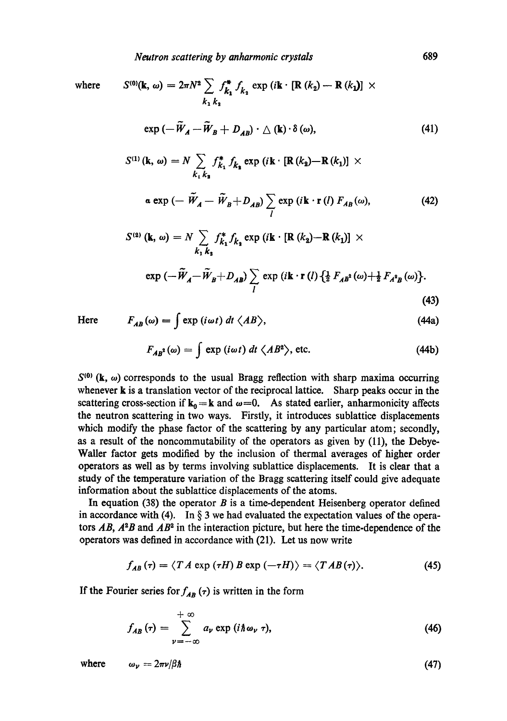where 
$$
S^{(0)}(\mathbf{k}, \omega) = 2\pi N^2 \sum_{k_1} f_{k_2}^* f_{k_3} \exp(i\mathbf{k} \cdot [\mathbf{R}(k_2) - \mathbf{R}(k_1)] \times
$$

$$
k_1 k_3
$$

$$
\exp(-\widetilde{W}_A - \widetilde{W}_B + D_{AB}) \cdot \triangle (\mathbf{k}) \cdot \delta(\omega), \tag{41}
$$

$$
S^{(1)}(\mathbf{k}, \omega) = N \sum_{k_1, k_2} f_{k_1}^* f_{k_2} \exp(i\mathbf{k} \cdot [\mathbf{R}(k_2) - \mathbf{R}(k_1)] \times
$$
  
\n
$$
\alpha \exp(-\widetilde{W}_A - \widetilde{W}_B + D_{AB}) \sum_l \exp(i\mathbf{k} \cdot \mathbf{r}(l) F_{AB}(\omega),
$$
 (42)

$$
S^{(2)} (\mathbf{k}, \omega) = N \sum_{k_1, k_2} f_{k_1}^* f_{k_2} \exp (i \mathbf{k} \cdot [\mathbf{R} (k_2) - \mathbf{R} (k_1)] \times
$$
  
\n
$$
\exp (-\widetilde{W}_A - \widetilde{W}_B + D_{AB}) \sum_l \exp (i \mathbf{k} \cdot \mathbf{r} (l) \left\{ \frac{1}{2} F_{AB}(\omega) + \frac{1}{2} F_{A^2 B}(\omega) \right\}.
$$
\n(43)

Here

$$
F_{AB}(\omega) = \int \exp(i\omega t) \, dt \, \langle AB \rangle,\tag{44a}
$$

$$
F_{AB}^{*}(\omega) = \int \exp(i\omega t) dt \langle AB^{2} \rangle, \text{ etc.}
$$
 (44b)

 $S^{(0)}$  (k,  $\omega$ ) corresponds to the usual Bragg reflection with sharp maxima occurring whenever **k** is a translation vector of the reciprocal lattice. Sharp peaks occur in the scattering cross-section if  $k_0 = k$  and  $\omega = 0$ . As stated earlier, anharmonicity affects the neutron scattering in two ways. Firstly, it introduces sublattice displacements which modify the phase factor of the scattering by any particular atom; secondly, as a result of the noncommutability of the operators as given by (11), the Debye-Waller factor gets modified by the inclusion of thermal averages of higher order operators as well as by terms involving sublattice displacements. It is clear that a study of the temperature variation of the Bragg scattering itself could give adequate information about the sublattice displacements of the atoms.

In equation (38) the operator  $B$  is a time-dependent Heisenberg operator defined in accordance with (4). In  $\S$  3 we had evaluated the expectation values of the operators  $\dot{AB}$ ,  $A^2B$  and  $\dot{AB}^2$  in the interaction picture, but here the time-dependence of the operators was defined in accordance with (21). Let us now write

$$
f_{AB}(\tau) = \langle T A \exp(\tau H) B \exp(-\tau H) \rangle = \langle T A B(\tau) \rangle. \tag{45}
$$

If the Fourier series for  $f_{AB}$  ( $\tau$ ) is written in the form

$$
f_{AB}(\tau) = \sum_{\nu = -\infty}^{+\infty} a_{\nu} \exp(i\hbar \omega_{\nu} \tau), \qquad (46)
$$

where  $\omega_{\nu} = 2\pi \nu/\beta \hbar$  (47)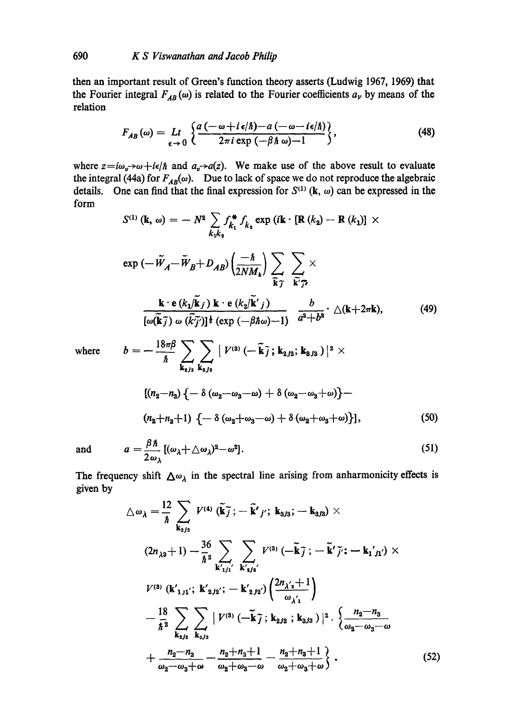then an important result of Green's function theory asserts (Ludwig 1967, 1969) that the Fourier integral  $F_{AB}(\omega)$  is related to the Fourier coefficients  $a_{\nu}$  by means of the relation

$$
F_{AB}(\omega) = Lt \left\{ \frac{a(-\omega + i\epsilon/\hbar) - a(-\omega - i\epsilon/\hbar)}{2\pi i \exp(-\beta \hbar \omega) - 1} \right\},
$$
(48)

where  $z=i\omega_v\rightarrow\omega+i\epsilon/\hbar$  and  $a_v\rightarrow a(z)$ . We make use of the above result to evaluate the integral (44a) for  $F_{AB}(\omega)$ . Due to lack of space we do not reproduce the algebraic details. One can find that the final expression for  $S^{(1)}$  (k,  $\omega$ ) can be expressed in the form

$$
S^{(1)} (\mathbf{k}, \omega) = -N^2 \sum_{k_1k_2} f_{k_1}^* f_{k_2} \exp (i\mathbf{k} \cdot [\mathbf{R} (k_2) - \mathbf{R} (k_1)] \times
$$
  
\n
$$
\exp (-\tilde{W}_A - \tilde{W}_B + D_{AB}) \left(\frac{-\hbar}{2NM_k}\right) \sum_{\tilde{\mathbf{k}} \tilde{\mathbf{y}}} \sum_{\tilde{\mathbf{k}} \tilde{\mathbf{y}}} \times
$$
  
\n
$$
\frac{\mathbf{k} \cdot \mathbf{e} (k_1/\tilde{\mathbf{k}}_j) \mathbf{k} \cdot \mathbf{e} (k_2/\tilde{\mathbf{k}}'_j)}{[\omega(\tilde{\mathbf{k}} \tilde{\mathbf{j}}) \omega (\tilde{k} \tilde{\mathbf{j}}')]^{\frac{1}{2}} (\exp (-\beta \hbar \omega) - 1)} \frac{b}{a^2 + b^2} \cdot \triangle (\mathbf{k} + 2\pi \mathbf{k}), \qquad (49)
$$

where 
$$
b = -\frac{18\pi\beta}{\hbar} \sum_{\mathbf{k}_{2j_2}} \sum_{\mathbf{k}_{3j_3}} |V^{(3)}(-\tilde{\mathbf{k}}_j; \mathbf{k}_{2j_2}; \mathbf{k}_{3j_3})|^2 \times
$$

$$
[(n_2 - n_3) \{-\delta(\omega_2 - \omega_3 - \omega) + \delta(\omega_2 - \omega_3 + \omega)\} -
$$

$$
(n_2 + n_3 + 1) \{-\delta(\omega_2 + \omega_3 - \omega) + \delta(\omega_2 + \omega_3 + \omega)\}], \tag{50}
$$

and 
$$
a = \frac{\beta \hbar}{2 \omega_{\lambda}} [(\omega_{\lambda} + \triangle \omega_{\lambda})^2 - \omega^2].
$$
 (51)

The frequency shift  $\Delta \omega_{\lambda}$  in the spectral line arising from anharmonicity effects is given by

$$
\Delta \omega_{\lambda} = \frac{12}{\hbar} \sum_{\mathbf{k}_{3/3}} V^{(4)} (\tilde{\mathbf{k}}_{j}^{*}; -\tilde{\mathbf{k}}'_{j}'; \mathbf{k}_{3/3}; -\mathbf{k}_{3/3}) \times
$$
  
\n
$$
(2n_{\lambda 3} + 1) - \frac{36}{\hbar^2} \sum_{\mathbf{k'}_{1j1}'} \sum_{\mathbf{k'}_{3j2}'} V^{(3)} (-\tilde{\mathbf{k}}_{j}^{*}; -\tilde{\mathbf{k}}'_{j}'; -\mathbf{k}_{1j1}') \times
$$
  
\n
$$
V^{(3)} (\mathbf{k'}_{1j1}'; \mathbf{k'}_{2j2}'; -\mathbf{k'}_{2j2}) \left( \frac{2n_{\lambda'2} + 1}{\omega_{\lambda'1}} \right)
$$
  
\n
$$
- \frac{18}{\hbar^2} \sum_{\mathbf{k}_{2j2}} \sum_{\mathbf{k}_{3j3}} |V^{(3)} (-\tilde{\mathbf{k}}_{j}^{*}; \mathbf{k}_{2j2}; \mathbf{k}_{3j3})|^2 \cdot \left\{ \frac{n_2 - n_3}{\omega_2 - \omega_3 - \omega} + \frac{n_2 - n_3}{\omega_2 - \omega_3 + \omega} - \frac{n_2 + n_3 + 1}{\omega_2 - \omega_3 + \omega} \right\}.
$$
 (52)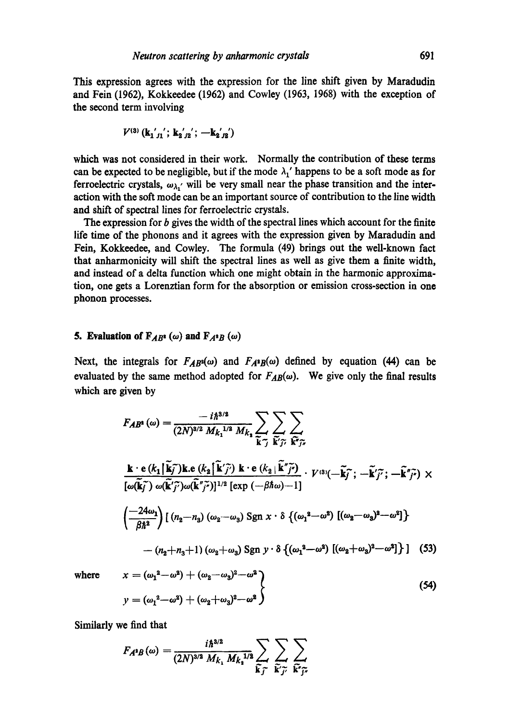This expression agrees with the expression for the line shift given by Maradudin and Fein (1962), Kokkeedee (1962) and Cowley (1963, 1968) with the exception of the second term involving

$$
V^{(3)}\left(\mathbf{k_{1}}'_{j1}\right);\,\mathbf{k_{2}}'_{j2}\left(\mathbf{-k_{2}}'_{j2}\right)
$$

which was not considered in their work. Normally the contribution of these terms can be expected to be negligible, but if the mode  $\lambda_1$ ' happens to be a soft mode as for ferroelectric crystals,  $\omega_{\lambda}$ , will be very small near the phase transition and the interaction with the soft mode can be an important source of contribution to the line width and shift of spectral lines for ferroelectric crystals.

The expression for  $b$  gives the width of the spectral lines which account for the finite life time of the phonons and it agrees with the expression given by Maradudin and Fein, Kokkeedee, and Cowley. The formula (49) brings out the well-known fact that anharmonicity will shift the spectral lines as well as give them a finite width, and instead of a delta function which one might obtain in the harmonic approximation, one gets a Lorenztian form for the absorption or emission cross-section in one phonon processes.

## **5. Evaluation of**  $F_{AB}$ **<sup>x</sup>** (*w*) **and**  $F_{A}$ <sup>x</sup> $B$  (*w*)

Next, the integrals for  $F_{AB}(\omega)$  and  $F_{A^2B}(\omega)$  defined by equation (44) can be evaluated by the same method adopted for  $F_{AB}(\omega)$ . We give only the final results which are given by

$$
F_{AB}(\omega) = \frac{-i\hbar^{3/2}}{(2N)^{3/2} M_{k_1}^{1/2} M_{k_1}} \sum_{\widetilde{\mathbf{k}}_{\widetilde{\mathcal{I}}}} \sum_{\widetilde{\mathbf{k}}_{\widetilde{\mathcal{I}}}} \sum_{\widetilde{\mathbf{k}}_{\widetilde{\mathcal{I}}}} \sum_{\widetilde{\mathbf{k}}_{\widetilde{\mathcal{I}}}} \sum_{\widetilde{\mathbf{k}}_{\widetilde{\mathcal{I}}}} \sum_{\widetilde{\mathbf{k}}_{\widetilde{\mathcal{I}}}} \sum_{\widetilde{\mathbf{k}}_{\widetilde{\mathcal{I}}}} \sum_{\widetilde{\mathbf{k}}_{\widetilde{\mathcal{I}}}} \sum_{\widetilde{\mathbf{k}}_{\widetilde{\mathcal{I}}}} \sum_{\widetilde{\mathbf{k}}_{\widetilde{\mathcal{I}}}} \sum_{\widetilde{\mathbf{k}}_{\widetilde{\mathcal{I}}}} \sum_{\widetilde{\mathbf{k}}_{\widetilde{\mathcal{I}}}} \sum_{\widetilde{\mathbf{k}}_{\widetilde{\mathcal{I}}}} \sum_{\widetilde{\mathbf{k}}_{\widetilde{\mathcal{I}}}} \sum_{\widetilde{\mathbf{k}}_{\widetilde{\mathcal{I}}}} \sum_{\widetilde{\mathbf{k}}_{\widetilde{\mathcal{I}}}} \sum_{\widetilde{\mathbf{k}}_{\widetilde{\mathcal{I}}}} \sum_{\widetilde{\mathbf{k}}_{\widetilde{\mathcal{I}}}} \sum_{\widetilde{\mathbf{k}}_{\widetilde{\mathcal{I}}}} \sum_{\widetilde{\mathbf{k}}_{\widetilde{\mathcal{I}}}} \sum_{\widetilde{\mathbf{k}}_{\widetilde{\mathcal{I}}}} \sum_{\widetilde{\mathbf{k}}_{\widetilde{\mathcal{I}}}} \sum_{\widetilde{\mathbf{k}}_{\widetilde{\mathcal{I}}}} \sum_{\widetilde{\mathbf{k}}_{\widetilde{\mathcal{I}}}} \sum_{\widetilde{\mathbf{k}}_{\widetilde{\mathcal{I}}}} \sum_{\widetilde{\mathbf{k}}_{\widetilde{\mathcal{I}}}} \sum_{\widetilde{\mathbf{k}}_{\widetilde{\mathcal{I}}}} \sum_{\widetilde{\mathbf{k}}_{\widetilde{\mathcal{I}}}} \sum_{\widetilde{\mathbf{k}}_{\widetilde{\mathcal{I}}}} \sum_{\widetilde{\mathbf{k}}_{\widetilde
$$

where 
$$
x = (\omega_1^2 - \omega^2) + (\omega_2 - \omega_3)^2 - \omega^2
$$
  
 $y = (\omega_1^2 - \omega^2) + (\omega_2 + \omega_3)^2 - \omega^2$  (54)

Similarly we find that

J

$$
F_{A^2B}(\omega) = \frac{i\hbar^{3/2}}{(2N)^{3/2} M_{k_1} M_{k_1}^{1/2}} \sum_{\widetilde{\mathbf{k}}_{J}^{+}} \sum_{\widetilde{\mathbf{k}}_{J}^{+}} \sum_{\widetilde{\mathbf{k}}_{J}^{+}} \sum_{\widetilde{\mathbf{k}}_{J}^{+}} \sum_{\widetilde{\mathbf{k}}_{J}^{+}} \sum_{\widetilde{\mathbf{k}}_{J}^{+}} \sum_{\widetilde{\mathbf{k}}_{J}^{+}} \sum_{\widetilde{\mathbf{k}}_{J}^{+}} \sum_{\widetilde{\mathbf{k}}_{J}^{+}} \sum_{\widetilde{\mathbf{k}}_{J}^{+}} \sum_{\widetilde{\mathbf{k}}_{J}^{+}} \sum_{\widetilde{\mathbf{k}}_{J}^{+}} \sum_{\widetilde{\mathbf{k}}_{J}^{+}} \sum_{\widetilde{\mathbf{k}}_{J}^{+}} \sum_{\widetilde{\mathbf{k}}_{J}^{+}} \sum_{\widetilde{\mathbf{k}}_{J}^{+}} \sum_{\widetilde{\mathbf{k}}_{J}^{+}} \sum_{\widetilde{\mathbf{k}}_{J}^{+}} \sum_{\widetilde{\mathbf{k}}_{J}^{+}} \sum_{\widetilde{\mathbf{k}}_{J}^{+}} \sum_{\widetilde{\mathbf{k}}_{J}^{+}} \sum_{\widetilde{\mathbf{k}}_{J}^{+}} \sum_{\widetilde{\mathbf{k}}_{J}^{+}} \sum_{\widetilde{\mathbf{k}}_{J}^{+}} \sum_{\widetilde{\mathbf{k}}_{J}^{+}} \sum_{\widetilde{\mathbf{k}}_{J}^{+}} \sum_{\widetilde{\mathbf{k}}_{J}^{+}} \sum_{\widetilde{\mathbf{k}}_{J}^{+}} \sum_{\widetilde{\mathbf{k}}_{J}^{+}} \sum_{\widetilde{\mathbf{k}}_{J}^{+}} \sum_{\widetilde{\mathbf{k}}_{J}^{+}} \sum_{\widetilde{\mathbf{k}}_{J}^{+}} \sum_{\widetilde{\mathbf{k}}_{J}^{+}} \sum_{\widetilde{\mathbf{k}}_{J}^{+}} \sum_{\widetilde{\mathbf{k}}_{J}^{+}} \sum_{\widetilde{\mathbf{k}}_{J}^{+}} \sum_{\widetilde{\mathbf{k}}_{J}^{+}} \sum_{\widetilde{\mathbf{k}}_{J}^{+}} \sum_{\widetilde{\mathbf{k}}_{J}^{+}} \sum_{\widetilde{\math
$$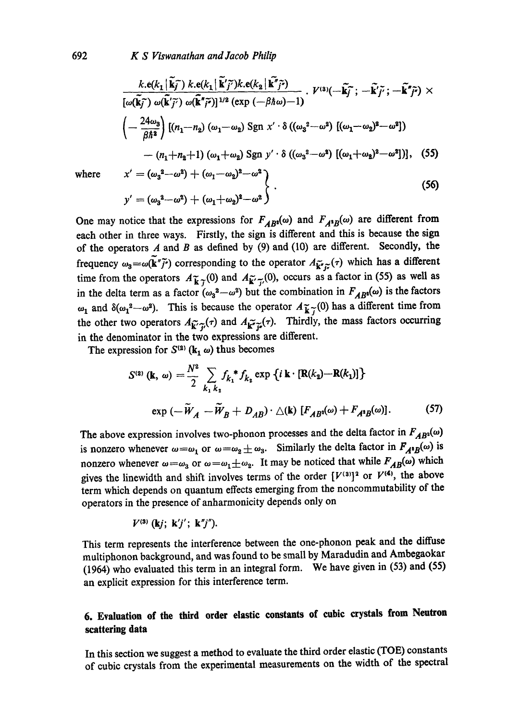$$
\frac{k \cdot e(k_1|\tilde{\mathbf{k}}_j^{\mathsf{T}}) k \cdot e(k_1|\tilde{\mathbf{k}}_j^{\mathsf{T}}) k \cdot e(k_2|\tilde{\mathbf{k}}_j^{\mathsf{T}}_j^{\mathsf{T}})}{[\omega(\tilde{\mathbf{k}}_j^{\mathsf{T}}) \omega(\tilde{\mathbf{k}}_j^{\mathsf{T}}_j^{\mathsf{T}}) \omega(\tilde{\mathbf{k}}_j^{\mathsf{T}}_j^{\mathsf{T}})]^{1/2} (\exp(-\beta \hbar \omega) - 1)} \cdot V^{(3)}(-\tilde{\mathbf{k}}_j^{\mathsf{T}}; -\tilde{\mathbf{k}}_j^{\mathsf{T}}_j^{\mathsf{T}}; -\tilde{\mathbf{k}}_j^{\mathsf{T}}_j^{\mathsf{T}}) \times
$$
\n
$$
\left(-\frac{24\omega_3}{\beta \hbar^2}\right) \left[(n_1 - n_2) (\omega_1 - \omega_2) \operatorname{Sgn} x' \cdot \delta ((\omega_3^2 - \omega^2) [(\omega_1 - \omega_2)^2 - \omega^2]) - (n_1 + n_2 + 1) (\omega_1 + \omega_2) \operatorname{Sgn} y' \cdot \delta ((\omega_3^2 - \omega^2) [(\omega_1 + \omega_2)^2 - \omega^2])\right], \quad (55)
$$

where

$$
x' = (\omega_3^2 - \omega^2) + (\omega_1 - \omega_2)^2 - \omega^2
$$
  

$$
y' = (\omega_3^2 - \omega^2) + (\omega_1 + \omega_2)^2 - \omega^2
$$
 (56)

One may notice that the expressions for  $F_{AB}(0)$  and  $F_{A^2B}(0)$  are different from each other in three ways. Firstly, the sign is different and this is because the sign of the operators  $A$  and  $B$  as defined by (9) and (10) are different. Secondly, the frequency  $\omega_3 = \omega(\tilde{k}'' \tilde{j}'')$  corresponding to the operator  $A_{\tilde{k}'' \tilde{j}''}(\tau)$  which has a different time from the operators  $A_{\tilde{k},\tilde{k}}(0)$  and  $A_{\tilde{k}',\tilde{k}'}(0)$ , occurs as a factor in (55) as well as in the delta term as a factor  $(\omega_3^2-\omega^2)$  but the combination in  $F_{AB^2}(\omega)$  is the factors  $\omega_1$  and  $\delta(\omega_1^2-\omega^2)$ . This is because the operator  $A_{\widetilde{K}^{\gamma}}(0)$  has a different time from the other two operators  $A_{\widetilde{\mathbf{k}}''\widetilde{\mathbf{p}}'}(\tau)$  and  $A_{\widetilde{\mathbf{k}}''\widetilde{\mathbf{p}}'}(\tau)$ . Thirdly, the mass factors occurring in the denominator in the two expressions are different.

The expression for  $S^{(2)}$  ( $\mathbf{k}_1$   $\omega$ ) thus becomes

$$
S^{(2)} (\mathbf{k}, \omega) = \frac{N^2}{2} \sum_{k_1, k_2} f_{k_1}^* f_{k_2} \exp \left\{ i \mathbf{k} \cdot \left[ \mathbf{R}(k_2) - \mathbf{R}(k_1) \right] \right\}
$$
  
\n
$$
\exp \left( -\widetilde{W}_A - \widetilde{W}_B + D_{AB} \right) \cdot \triangle (\mathbf{k}) \left[ F_{AB}(\omega) + F_{A^*B}(\omega) \right]. \tag{57}
$$

The above expression involves two-phonon processes and the delta factor in  $F_{AB}(\omega)$ is nonzero whenever  $\omega = \omega_1$  or  $\omega = \omega_2 \pm \omega_3$ . Similarly the delta factor in  $F_{A^*B}(\omega)$  is nonzero whenever  $\omega = \omega_3$  or  $\omega = \omega_1 \pm \omega_2$ . It may be noticed that while  $F_{AB}(\omega)$  which gives the linewidth and shift involves terms of the order  $[V^{(3)}]^2$  or  $V^{(4)}$ , the above term which depends on quantum effects emerging from the noncommutability of the operators in the presence of anharmonicity depends only on

$$
V^{(3)}\left(\mathbf{k}j;\ \mathbf{k}'j';\ \mathbf{k}''j''\right).
$$

This term represents the interference between the one-phonon peak and the diffuse multiphonon background, and was found to be small by Maradudin and Ambegaokar (1964) who evaluated this term in an integral form. We have given in (53) and (55) an explicit expression for this interference term.

## **6. Evaluation of the third order elastic constants of cubic crystals from Neutron scattering data**

In this section we suggest a method to evaluate the third order elastic (TOE) constants of cubic crystals from the experimental measurements on the width of the spectral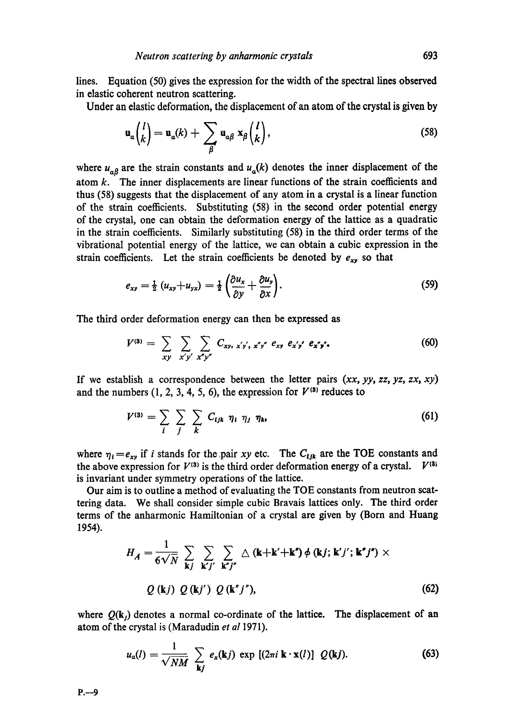lines. Equation (50) gives the expression for the width of the spectral lines observed in elastic coherent neutron scattering.

Under an elastic deformation, the displacement of an atom of the crystal is given by

$$
\mathbf{u}_{a}\begin{pmatrix}l\\k\end{pmatrix}=\mathbf{u}_{a}(k)+\sum_{\beta}\mathbf{u}_{\alpha\beta}\mathbf{x}_{\beta}\begin{pmatrix}l\\k\end{pmatrix},\qquad(58)
$$

where  $u_{\alpha\beta}$  are the strain constants and  $u_{\alpha}(k)$  denotes the inner displacement of the atom  $k$ . The inner displacements are linear functions of the strain coefficients and thus (58) suggests that the displacement of any atom in a crystal is a linear function of the strain coefficients. Substituting (58) in the second order potential energy of the crystal, one can obtain the deformation energy of the lattice as a quadratic in the strain coefficients. Similarly substituting (58) in the third order terms of the vibrational potential energy of the lattice, we can obtain a cubic expression in the strain coefficients. Let the strain coefficients be denoted by  $e_{xy}$  so that

$$
e_{xy} = \frac{1}{2} (u_{xy} + u_{yx}) = \frac{1}{2} \left( \frac{\partial u_x}{\partial y} + \frac{\partial u_y}{\partial x} \right).
$$
 (59)

The third order deformation energy can then be expressed as

$$
V^{(3)} = \sum_{xy} \sum_{x'y'} \sum_{x''y''} C_{xy, x'y', x''y''} e_{xy} e_{x'y'} e_{x''y''}.
$$
 (60)

If we establish a correspondence between the letter pairs *(xx, yy, zz, yz, zx, xy)*  and the numbers  $(1, 2, 3, 4, 5, 6)$ , the expression for  $V^{(3)}$  reduces to

$$
V^{(3)} = \sum_{i} \sum_{j} \sum_{k} C_{ijk} \eta_i \eta_j \eta_k,
$$
 (61)

where  $\eta_i = e_{xy}$  if i stands for the pair *xy* etc. The  $C_{ijk}$  are the TOE constants and the above expression for  $V^{(3)}$  is the third order deformation energy of a crystal.  $V^{(3)}$ is invariant under symmetry operations of the lattice.

Our aim is to outline a method of evaluating the TOE constants from neutron scattering data. We shall consider simple cubic Bravais lattices only. The third order terms of the anharmonic Hamiltonian of a crystal are given by (Born and Huang 1954).

$$
H_A = \frac{1}{6\sqrt{N}} \sum_{\mathbf{k}j} \sum_{\mathbf{k}'j'} \sum_{\mathbf{k}''j''} \Delta(\mathbf{k} + \mathbf{k}' + \mathbf{k}'') \phi(\mathbf{k}j; \mathbf{k}'j'; \mathbf{k}''j'') \times
$$
  

$$
Q(\mathbf{k}j) Q(\mathbf{k}j') Q(\mathbf{k}''j''),
$$
 (62)

where  $Q(k_j)$  denotes a normal co-ordinate of the lattice. The displacement of an atom of the crystal is (Maradudin *et al* 1971).

$$
u_{\alpha}(l) = \frac{1}{\sqrt{NM}} \sum_{\mathbf{k}j} e_{\mathbf{x}}(\mathbf{k}j) \exp [(2\pi i \mathbf{k} \cdot \mathbf{x}(l))] Q(\mathbf{k}j).
$$
 (63)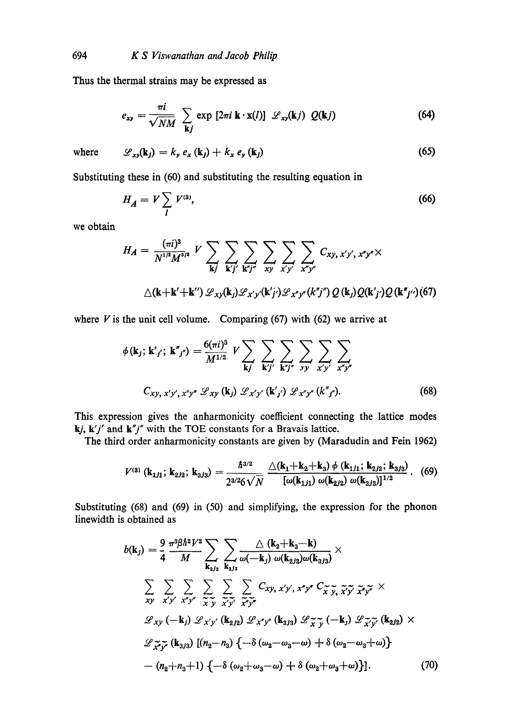Thus the thermal strains may be expressed as

$$
e_{xy} = \frac{\pi i}{\sqrt{NM}} \sum_{\mathbf{k}j} \exp \left[2\pi i \mathbf{k} \cdot \mathbf{x}(l)\right] \mathcal{L}_{xy}(\mathbf{k}j) \ Q(\mathbf{k}j) \tag{64}
$$

where 
$$
\mathscr{L}_{xy}(\mathbf{k}_j) = k_y e_x (\mathbf{k}_j) + k_x e_y (\mathbf{k}_j)
$$
 (65)

Substituting these in (60) and substituting the resulting equation in

$$
H_A = V \sum_l V^{(3)},\tag{66}
$$

we obtain

$$
H_A = \frac{(\pi i)^3}{N^{1/2}M^{3/2}} V \sum_{\mathbf{k}j} \sum_{\mathbf{k}'j'} \sum_{\mathbf{k}''j''} \sum_{xy} \sum_{x'y'} \sum_{x''y''} C_{xy, x'y', x''y''} \times
$$
  
 
$$
\triangle(\mathbf{k} + \mathbf{k}' + \mathbf{k}'') \mathcal{L}_{xy}(\mathbf{k}_j) \mathcal{L}_{x'y'}(\mathbf{k}''j') \mathcal{L}_{x''y''}(k'j'') Q(\mathbf{k}_j) Q(\mathbf{k}'j') Q(\mathbf{k}''j'') (67)
$$

where  $V$  is the unit cell volume. Comparing (67) with (62) we arrive at

$$
\phi(\mathbf{k}_{j}; \mathbf{k}'_{j'}; \mathbf{k}''_{j''}) = \frac{6(\pi i)^{3}}{M^{1/2}} V \sum_{\mathbf{k}j'} \sum_{\mathbf{k}'j'} \sum_{\mathbf{k}'j'} \sum_{x'y'} \sum_{x'y'} \sum_{x''j''} \sum_{x''j''} \sum_{x''j''} C_{xy, x'y', x''j''} \mathcal{L}_{xy}(\mathbf{k}_{j}) \mathcal{L}_{x'y'}(\mathbf{k}'_{j'}) \mathcal{L}_{x''j''}(\mathbf{k}''_{j''}).
$$
\n(68)

This expression gives the anharmonicity coefficient connecting the lattice modes *kj, k'j'* and *k"j"* with the TOE constants for a Bravais lattice.

The third order anharmonicity constants are given by (Maradudin and Fein 1962)

$$
V^{(3)}\left(\mathbf{k}_{1j1};\,\mathbf{k}_{2j2};\,\mathbf{k}_{3j3}\right)=\frac{\hbar^{3/2}}{2^{3/2}6\sqrt{N}}\frac{\triangle(\mathbf{k}_{1}+\mathbf{k}_{2}+\mathbf{k}_{3})\,\phi\left(\mathbf{k}_{1j1};\,\mathbf{k}_{2j2};\,\mathbf{k}_{3j3}\right)}{\left[\omega(\mathbf{k}_{1j1})\,\omega(\mathbf{k}_{2j2})\,\omega(\mathbf{k}_{3j3})\right]^{1/2}}.\tag{69}
$$

Substituting (68) and (69) in (50) and simplifying, the expression for the phonon linewidth is obtained as

$$
b(\mathbf{k}_j) = \frac{9}{4} \frac{\pi^3 \beta \hbar^2 V^2}{M} \sum_{\mathbf{k}_{2j_2}} \sum_{\mathbf{k}_{3j_3}} \frac{\Delta (\mathbf{k}_2 + \mathbf{k}_3 - \mathbf{k})}{\omega(-\mathbf{k}_j) \omega(\mathbf{k}_{2j_2}) \omega(\mathbf{k}_{3j_3})} \times
$$
  

$$
\sum_{xy} \sum_{x'y'} \sum_{x''y''} \sum_{\tilde{x}, \tilde{y}} \sum_{\tilde{x}, \tilde{y}'} \sum_{\tilde{x}''\tilde{y}''} C_{xy, x'y', x''y''} C_{\tilde{x}, \tilde{y}, \tilde{x}'} \tilde{y} \tilde{x} \tilde{y}''} \times
$$
  

$$
\mathcal{L}_{xy}(-\mathbf{k}_j) \mathcal{L}_{x'y'} (\mathbf{k}_{2j_2}) \mathcal{L}_{x''y''} (\mathbf{k}_{3j_3}) \mathcal{L}_{\tilde{x}} \tilde{y}(-\mathbf{k}_j) \mathcal{L}_{\tilde{x}'} \tilde{y} (\mathbf{k}_{2j_2}) \times
$$
  

$$
\mathcal{L}_{\tilde{x}''\tilde{y}''} (\mathbf{k}_{3j_3}) [(n_2 - n_3) \{-\delta (\omega_2 - \omega_3 - \omega) + \delta (\omega_2 - \omega_3 + \omega) \}
$$
  

$$
-(n_2 + n_3 + 1) \{-\delta (\omega_2 + \omega_3 - \omega) + \delta (\omega_2 + \omega_3 + \omega) \}].
$$
 (70)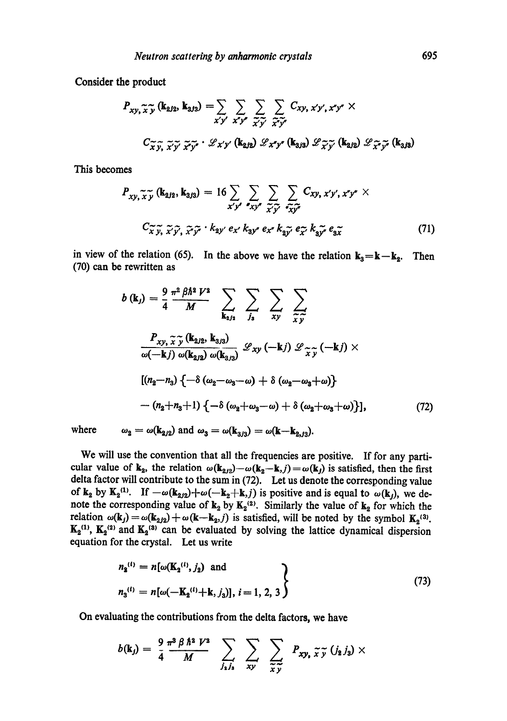Consider the product

$$
P_{xy,\widetilde{x}\widetilde{y}}\left(\mathbf{k}_{2j2},\mathbf{k}_{3j3}\right)=\sum_{x'y'}\sum_{x''y'}\sum_{\widetilde{x}\widetilde{y'}}\sum_{\widetilde{x}\widetilde{y'}}C_{xy,\,x'y',\,x''y''}\times
$$

$$
C_{\widetilde{x}\widetilde{y},\,\widetilde{x}\widetilde{y'}}\widetilde{x\widetilde{y''}}\cdot\mathscr{L}_{x'y'}\left(\mathbf{k}_{2j2}\right)\mathscr{L}_{x''y''}\left(\mathbf{k}_{3j3}\right)\mathscr{L}_{\widetilde{x}\widetilde{y'}}\left(\mathbf{k}_{2j2}\right)\mathscr{L}_{x''\widetilde{y''}}\left(\mathbf{k}_{3j3}\right)
$$

This becomes

$$
P_{xy,\widetilde{x}\widetilde{y}}\left(\mathbf{k}_{2j2},\mathbf{k}_{3j3}\right) = 16 \sum_{x'y'} \sum_{x'y''} \sum_{\widetilde{x}\widetilde{y'}} \sum_{\widetilde{x}\widetilde{y''}} C_{xy,\,x'y',\,x''y''} \times
$$
  

$$
C_{\widetilde{x}\widetilde{y},\, \widetilde{x'}\widetilde{y'},\, \widetilde{x''}\widetilde{y''}} \cdot k_{2y'} \, e_{x'} \, k_{3y''} \, e_{x''} \, k_{2\widetilde{y'}} \, e_{\widetilde{x'}} \, k_{3\widetilde{y''}} \, e_{3\widetilde{x}} \tag{71}
$$

in view of the relation (65). In the above we have the relation  $k_3=k-k_2$ . Then (70) can be rewritten as

$$
b(\mathbf{k}_j) = \frac{9}{4} \frac{\pi^2 \beta \hbar^2 V^2}{M} \sum_{\mathbf{k}_{2j_2}} \sum_{j_3} \sum_{xy} \sum_{\tilde{x}\tilde{y}} \sum_{\tilde{y}\tilde{y}} \sum_{\tilde{y}\tilde{y}} \sum_{\omega(-\mathbf{k}j) \omega(\mathbf{k}_{2j_2}, \mathbf{k}_{3j_3})} \sum_{\omega(-\mathbf{k}j) \omega(\mathbf{k}_{2j_2})} \mathcal{L}_{xy}(-\mathbf{k}j) \mathcal{L}_{\tilde{x}\tilde{y}}(-\mathbf{k}j) \times
$$

$$
[(n_2 - n_3) \{-\delta(\omega_2 - \omega_3 - \omega) + \delta(\omega_2 - \omega_3 + \omega)\} - (n_2 + n_3 + 1) \{-\delta(\omega_2 + \omega_3 - \omega) + \delta(\omega_2 + \omega_3 + \omega)\}], \tag{72}
$$

where  $\omega_2 = \omega(\mathbf{k}_{2/2})$  and  $\omega_3 = \omega(\mathbf{k}_{3/3}) = \omega(\mathbf{k}-\mathbf{k}_{2,3}).$ 

We will use the convention that all the frequencies are positive. If for any particular value of  $\mathbf{k}_2$ , the relation  $\omega(\mathbf{k}_{2/2})-\omega(\mathbf{k}_2-\mathbf{k},j) = \omega(\mathbf{k}_j)$  is satisfied, then the first delta factor will contribute to the sum in (72). Let us denote the corresponding value of  $k_2$  by  $K_2^{(1)}$ . If  $-\omega(k_{2/2})+\omega(-k_2+k,j)$  is positive and is equal to  $\omega(k_j)$ , we denote the corresponding value of  $k_2$  by  $K_2^{(2)}$ . Similarly the value of  $k_2$  for which the relation  $\omega(\mathbf{k}_j) = \omega(\mathbf{k}_{2j2}) + \omega(\mathbf{k}-\mathbf{k}_2,j)$  is satisfied, will be noted by the symbol  $\mathbf{K}_2^{(3)}$ .  $K_2^{(1)}$ ,  $K_2^{(2)}$  and  $K_2^{(3)}$  can be evaluated by solving the lattice dynamical dispersion equation for the crystal. Let us write

$$
n_2^{(i)} = n[\omega(\mathbf{K}_2^{(i)}, j_2) \text{ and } n_3^{(i)} = n[\omega(-\mathbf{K}_2^{(i)} + \mathbf{k}, j_3)], i = 1, 2, 3
$$
\n(73)

**On evaluating the contributions from the delta factors, we have** 

$$
b(\mathbf{k}_j) = \frac{9}{4} \frac{\pi^3 \beta \, \hbar^2 \, V^2}{M} \sum_{j_1 j_2} \sum_{x y} \sum_{\widetilde{x} \, \widetilde{y}} P_{xy} \widetilde{y} \widetilde{y} (j_2 j_3) \times
$$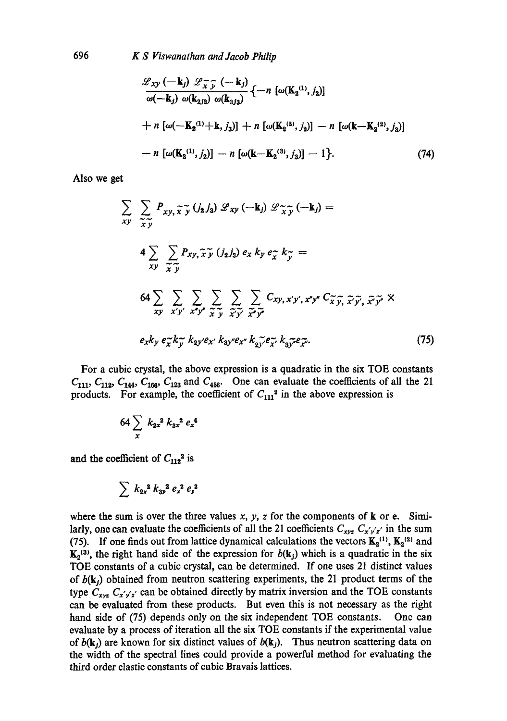$$
\frac{\mathscr{L}_{xy}(-\mathbf{k}_{j}) \mathscr{L}_{\widetilde{x}\widetilde{y}}(-\mathbf{k}_{j})}{\omega(-\mathbf{k}_{j}) \omega(\mathbf{k}_{2j2}) \omega(\mathbf{k}_{3j3})} \{-n \left[\omega(\mathbf{K}_{2}^{(1)}, j_{2})\right] \n+ n \left[\omega(-\mathbf{K}_{2}^{(1)} + \mathbf{k}, j_{3})\right] + n \left[\omega(\mathbf{K}_{2}^{(2)}, j_{2})\right] - n \left[\omega(\mathbf{k} - \mathbf{K}_{2}^{(2)}, j_{3})\right] \n- n \left[\omega(\mathbf{K}_{2}^{(1)}, j_{2})\right] - n \left[\omega(\mathbf{k} - \mathbf{K}_{2}^{(3)}, j_{3})\right] - 1 \}.
$$
\n(74)

Also we get

$$
\sum_{xy} \sum_{\tilde{x}, \tilde{y}} P_{xy, \tilde{x}, \tilde{y}} (j_2 j_3) \mathcal{L}_{xy} (-\mathbf{k}_j) \mathcal{L}_{\tilde{x}, \tilde{y}} (-\mathbf{k}_j) =
$$
  
\n4 
$$
\sum_{xy} \sum_{\tilde{x}, \tilde{y}} P_{xy, \tilde{x}, \tilde{y}} (j_2 j_3) e_x k_y e_{\tilde{x}} k_{\tilde{y}} =
$$
  
\n64 
$$
\sum_{xy} \sum_{x'y'} \sum_{x''y''} \sum_{\tilde{x}, \tilde{y}} \sum_{\tilde{x}, \tilde{y}'} \sum_{\tilde{x}'' \tilde{y}''} C_{xy, x'y', x''y''} C_{\tilde{x}, \tilde{y}, \tilde{x}'' \tilde{y''}} \times
$$
  
\n
$$
e_x k_y e_{\tilde{x}} k_{\tilde{y}} k_{\tilde{y}} y e_{x'} k_{\tilde{y}} y e_{x''} k_{\tilde{y}} \tilde{y} e_{\tilde{x}'} k_{\tilde{y}} \tilde{y} e_{\tilde{x}''}
$$
 (75)

For a cubic crystal, the above expression is a quadratic in the six TOE constants  $C_{111}$ ,  $C_{112}$ ,  $C_{144}$ ,  $C_{166}$ ,  $C_{123}$  and  $C_{456}$ . One can evaluate the coefficients of all the 21 products. For example, the coefficient of  $C_{111}^2$  in the above expression is

$$
64 \sum_{x} k_{2x}^{2} k_{3x}^{2} e_{x}^{4}
$$

and the coefficient of  $C_{112}^2$  is

$$
\sum k_{2x}^2 k_{3y}^2 e_x^2 e_y^2
$$

where the sum is over the three values  $x$ ,  $y$ ,  $z$  for the components of  $k$  or e. Similarly, one can evaluate the coefficients of all the 21 coefficients  $C_{xyz} C_{x'y'z'}$  in the sum (75). If one finds out from lattice dynamical calculations the vectors  $K_2^{(1)}$ ,  $K_2^{(2)}$  and  $K_2$ <sup>(3)</sup>, the right hand side of the expression for  $b(k_j)$  which is a quadratic in the six TOE constants of a cubic crystal, can be determined. If one uses 21 distinct values of  $b(\mathbf{k}_i)$  obtained from neutron scattering experiments, the 21 product terms of the type  $C_{xyz}$ ,  $C_{x'y'z'}$  can be obtained directly by matrix inversion and the TOE constants can be evaluated from these products. But even this is not necessary as the right hand side of (75) depends only on the six independent TOE constants. One can evaluate by a process of iteration all the six TOE constants if the experimental value of  $b(\mathbf{k}_i)$  are known for six distinct values of  $b(\mathbf{k}_i)$ . Thus neutron scattering data on the width of the spectral Iines could provide a powerful method for evaluating the third order elastic constants of cubic Bravais lattices.